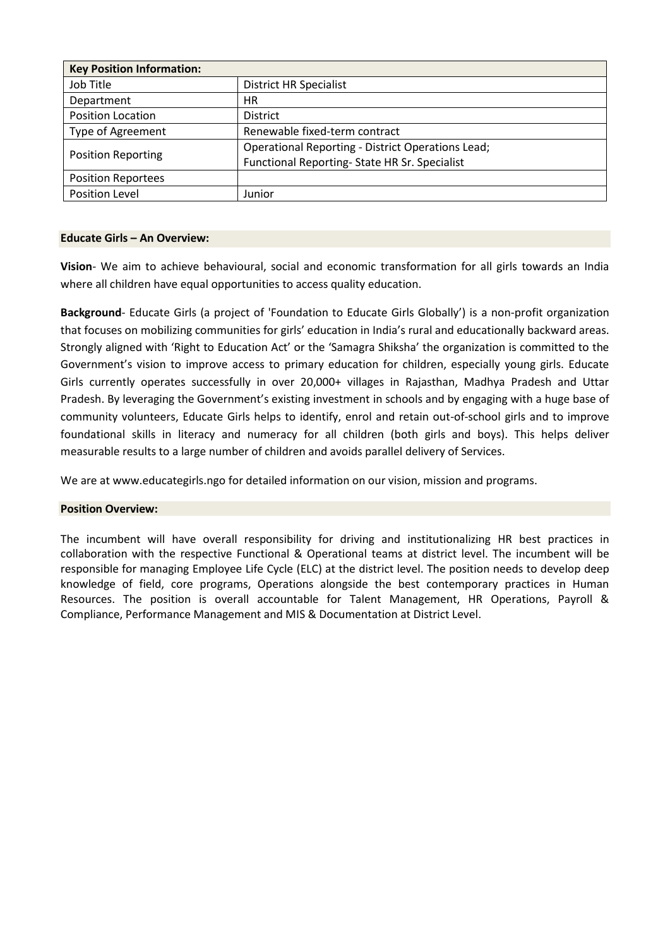| <b>Key Position Information:</b> |                                                          |  |  |
|----------------------------------|----------------------------------------------------------|--|--|
| Job Title                        | <b>District HR Specialist</b>                            |  |  |
| Department                       | HR.                                                      |  |  |
| <b>Position Location</b>         | <b>District</b>                                          |  |  |
| Type of Agreement                | Renewable fixed-term contract                            |  |  |
| <b>Position Reporting</b>        | <b>Operational Reporting - District Operations Lead;</b> |  |  |
|                                  | Functional Reporting-State HR Sr. Specialist             |  |  |
| <b>Position Reportees</b>        |                                                          |  |  |
| Position Level                   | Junior                                                   |  |  |

#### **Educate Girls – An Overview:**

**Vision**- We aim to achieve behavioural, social and economic transformation for all girls towards an India where all children have equal opportunities to access quality education.

**Background**- Educate Girls (a project of 'Foundation to Educate Girls Globally') is a non-profit organization that focuses on mobilizing communities for girls' education in India's rural and educationally backward areas. Strongly aligned with 'Right to Education Act' or the 'Samagra Shiksha' the organization is committed to the Government's vision to improve access to primary education for children, especially young girls. Educate Girls currently operates successfully in over 20,000+ villages in Rajasthan, Madhya Pradesh and Uttar Pradesh. By leveraging the Government's existing investment in schools and by engaging with a huge base of community volunteers, Educate Girls helps to identify, enrol and retain out-of-school girls and to improve foundational skills in literacy and numeracy for all children (both girls and boys). This helps deliver measurable results to a large number of children and avoids parallel delivery of Services.

We are at www.educategirls.ngo for detailed information on our vision, mission and programs.

### **Position Overview:**

The incumbent will have overall responsibility for driving and institutionalizing HR best practices in collaboration with the respective Functional & Operational teams at district level. The incumbent will be responsible for managing Employee Life Cycle (ELC) at the district level. The position needs to develop deep knowledge of field, core programs, Operations alongside the best contemporary practices in Human Resources. The position is overall accountable for Talent Management, HR Operations, Payroll & Compliance, Performance Management and MIS & Documentation at District Level.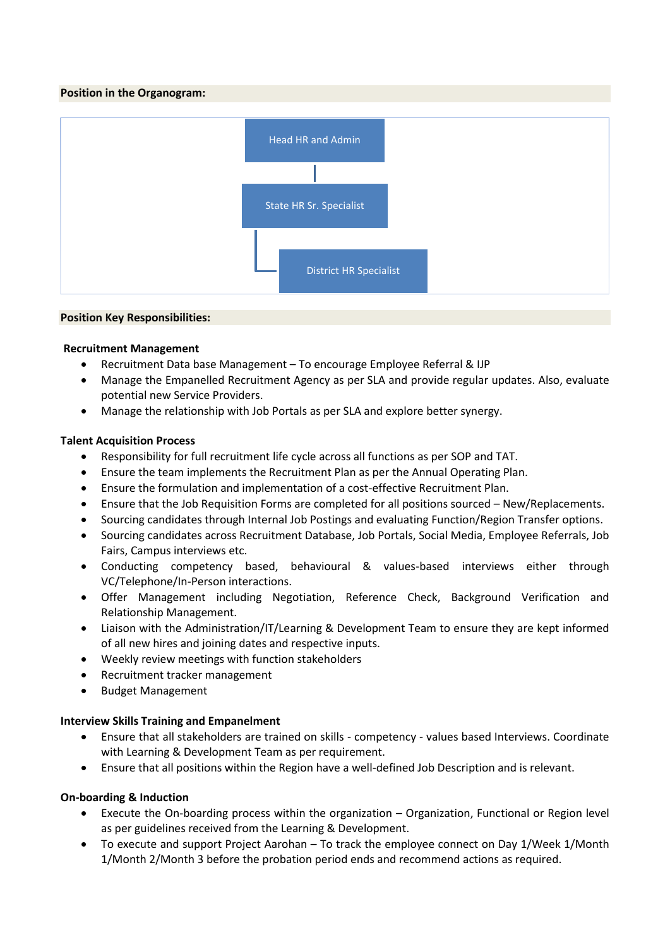### **Position in the Organogram:**



#### **Position Key Responsibilities:**

#### **Recruitment Management**

- Recruitment Data base Management To encourage Employee Referral & IJP
- Manage the Empanelled Recruitment Agency as per SLA and provide regular updates. Also, evaluate potential new Service Providers.
- Manage the relationship with Job Portals as per SLA and explore better synergy.

### **Talent Acquisition Process**

- Responsibility for full recruitment life cycle across all functions as per SOP and TAT.
- Ensure the team implements the Recruitment Plan as per the Annual Operating Plan.
- Ensure the formulation and implementation of a cost-effective Recruitment Plan.
- Ensure that the Job Requisition Forms are completed for all positions sourced New/Replacements.
- Sourcing candidates through Internal Job Postings and evaluating Function/Region Transfer options.
- Sourcing candidates across Recruitment Database, Job Portals, Social Media, Employee Referrals, Job Fairs, Campus interviews etc.
- Conducting competency based, behavioural & values-based interviews either through VC/Telephone/In-Person interactions.
- Offer Management including Negotiation, Reference Check, Background Verification and Relationship Management.
- Liaison with the Administration/IT/Learning & Development Team to ensure they are kept informed of all new hires and joining dates and respective inputs.
- Weekly review meetings with function stakeholders
- Recruitment tracker management
- Budget Management

### **Interview Skills Training and Empanelment**

- Ensure that all stakeholders are trained on skills competency values based Interviews. Coordinate with Learning & Development Team as per requirement.
- Ensure that all positions within the Region have a well-defined Job Description and is relevant.

### **On-boarding & Induction**

- Execute the On-boarding process within the organization Organization, Functional or Region level as per guidelines received from the Learning & Development.
- To execute and support Project Aarohan To track the employee connect on Day 1/Week 1/Month 1/Month 2/Month 3 before the probation period ends and recommend actions as required.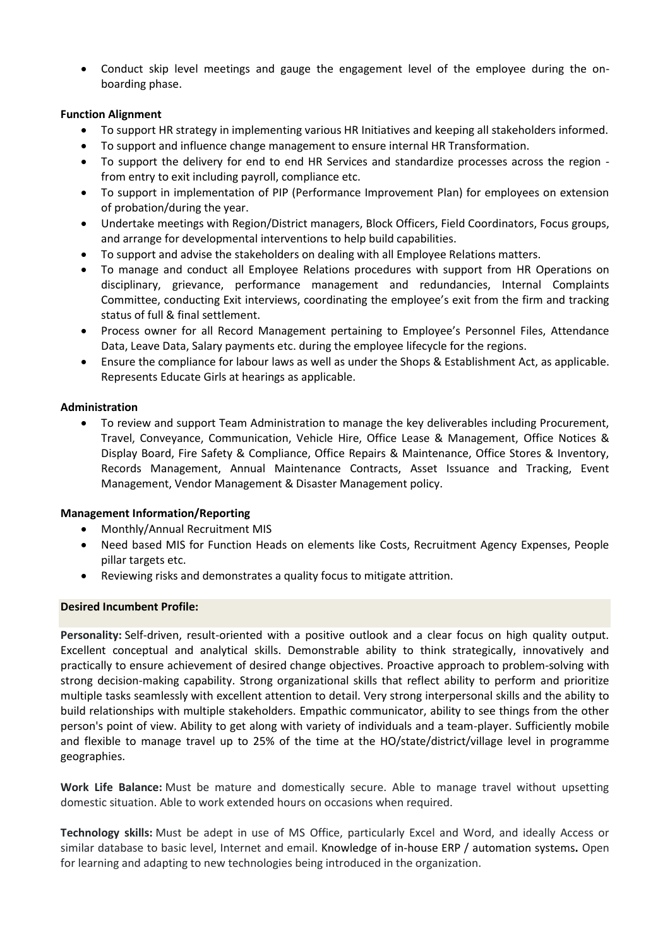• Conduct skip level meetings and gauge the engagement level of the employee during the onboarding phase.

# **Function Alignment**

- To support HR strategy in implementing various HR Initiatives and keeping all stakeholders informed.
- To support and influence change management to ensure internal HR Transformation.
- To support the delivery for end to end HR Services and standardize processes across the region from entry to exit including payroll, compliance etc.
- To support in implementation of PIP (Performance Improvement Plan) for employees on extension of probation/during the year.
- Undertake meetings with Region/District managers, Block Officers, Field Coordinators, Focus groups, and arrange for developmental interventions to help build capabilities.
- To support and advise the stakeholders on dealing with all Employee Relations matters.
- To manage and conduct all Employee Relations procedures with support from HR Operations on disciplinary, grievance, performance management and redundancies, Internal Complaints Committee, conducting Exit interviews, coordinating the employee's exit from the firm and tracking status of full & final settlement.
- Process owner for all Record Management pertaining to Employee's Personnel Files, Attendance Data, Leave Data, Salary payments etc. during the employee lifecycle for the regions.
- Ensure the compliance for labour laws as well as under the Shops & Establishment Act, as applicable. Represents Educate Girls at hearings as applicable.

### **Administration**

• To review and support Team Administration to manage the key deliverables including Procurement, Travel, Conveyance, Communication, Vehicle Hire, Office Lease & Management, Office Notices & Display Board, Fire Safety & Compliance, Office Repairs & Maintenance, Office Stores & Inventory, Records Management, Annual Maintenance Contracts, Asset Issuance and Tracking, Event Management, Vendor Management & Disaster Management policy.

### **Management Information/Reporting**

- Monthly/Annual Recruitment MIS
- Need based MIS for Function Heads on elements like Costs, Recruitment Agency Expenses, People pillar targets etc.
- Reviewing risks and demonstrates a quality focus to mitigate attrition.

### **Desired Incumbent Profile:**

**Personality:** Self-driven, result-oriented with a positive outlook and a clear focus on high quality output. Excellent conceptual and analytical skills. Demonstrable ability to think strategically, innovatively and practically to ensure achievement of desired change objectives. Proactive approach to problem-solving with strong decision-making capability. Strong organizational skills that reflect ability to perform and prioritize multiple tasks seamlessly with excellent attention to detail. Very strong interpersonal skills and the ability to build relationships with multiple stakeholders. Empathic communicator, ability to see things from the other person's point of view. Ability to get along with variety of individuals and a team-player. Sufficiently mobile and flexible to manage travel up to 25% of the time at the HO/state/district/village level in programme geographies.

**Work Life Balance:** Must be mature and domestically secure. Able to manage travel without upsetting domestic situation. Able to work extended hours on occasions when required.

**Technology skills:** Must be adept in use of MS Office, particularly Excel and Word, and ideally Access or similar database to basic level, Internet and email. Knowledge of in-house ERP / automation systems**.** Open for learning and adapting to new technologies being introduced in the organization.